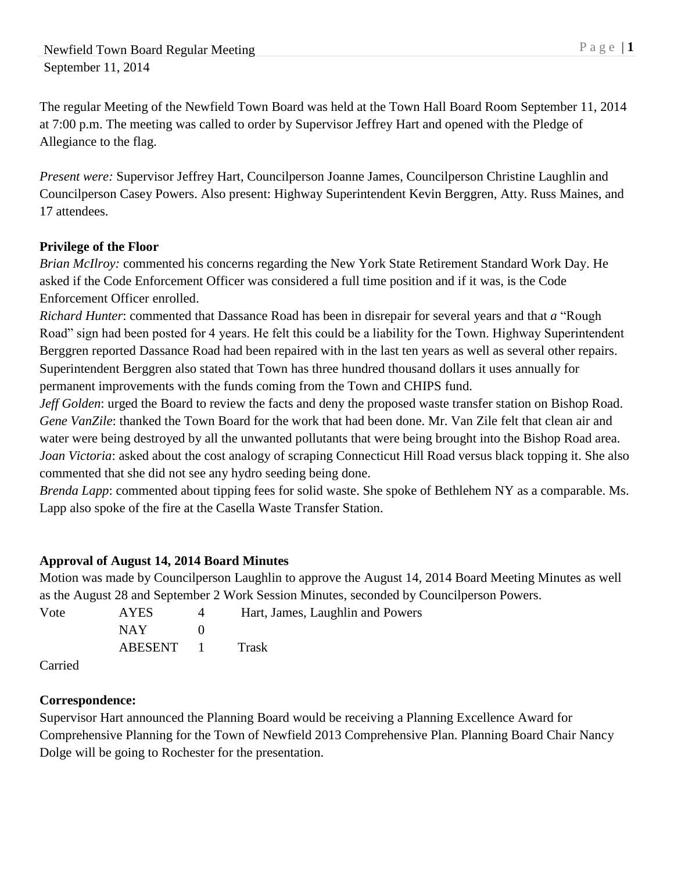The regular Meeting of the Newfield Town Board was held at the Town Hall Board Room September 11, 2014 at 7:00 p.m. The meeting was called to order by Supervisor Jeffrey Hart and opened with the Pledge of Allegiance to the flag.

*Present were:* Supervisor Jeffrey Hart, Councilperson Joanne James, Councilperson Christine Laughlin and Councilperson Casey Powers. Also present: Highway Superintendent Kevin Berggren, Atty. Russ Maines, and 17 attendees.

# **Privilege of the Floor**

*Brian McIlroy:* commented his concerns regarding the New York State Retirement Standard Work Day. He asked if the Code Enforcement Officer was considered a full time position and if it was, is the Code Enforcement Officer enrolled.

*Richard Hunter*: commented that Dassance Road has been in disrepair for several years and that *a* "Rough Road" sign had been posted for 4 years. He felt this could be a liability for the Town. Highway Superintendent Berggren reported Dassance Road had been repaired with in the last ten years as well as several other repairs. Superintendent Berggren also stated that Town has three hundred thousand dollars it uses annually for permanent improvements with the funds coming from the Town and CHIPS fund.

*Jeff Golden*: urged the Board to review the facts and deny the proposed waste transfer station on Bishop Road. *Gene VanZile*: thanked the Town Board for the work that had been done. Mr. Van Zile felt that clean air and water were being destroyed by all the unwanted pollutants that were being brought into the Bishop Road area. *Joan Victoria*: asked about the cost analogy of scraping Connecticut Hill Road versus black topping it. She also commented that she did not see any hydro seeding being done.

*Brenda Lapp*: commented about tipping fees for solid waste. She spoke of Bethlehem NY as a comparable. Ms. Lapp also spoke of the fire at the Casella Waste Transfer Station.

# **Approval of August 14, 2014 Board Minutes**

Motion was made by Councilperson Laughlin to approve the August 14, 2014 Board Meeting Minutes as well as the August 28 and September 2 Work Session Minutes, seconded by Councilperson Powers.

| Vote                 | <b>AYES</b> | Hart, James, Laughlin and Powers |
|----------------------|-------------|----------------------------------|
|                      | NAY.        |                                  |
|                      | ABESENT 1   | <b>Trask</b>                     |
| $\sim$ $\sim$ $\sim$ |             |                                  |

Carried

# **Correspondence:**

Supervisor Hart announced the Planning Board would be receiving a Planning Excellence Award for Comprehensive Planning for the Town of Newfield 2013 Comprehensive Plan. Planning Board Chair Nancy Dolge will be going to Rochester for the presentation.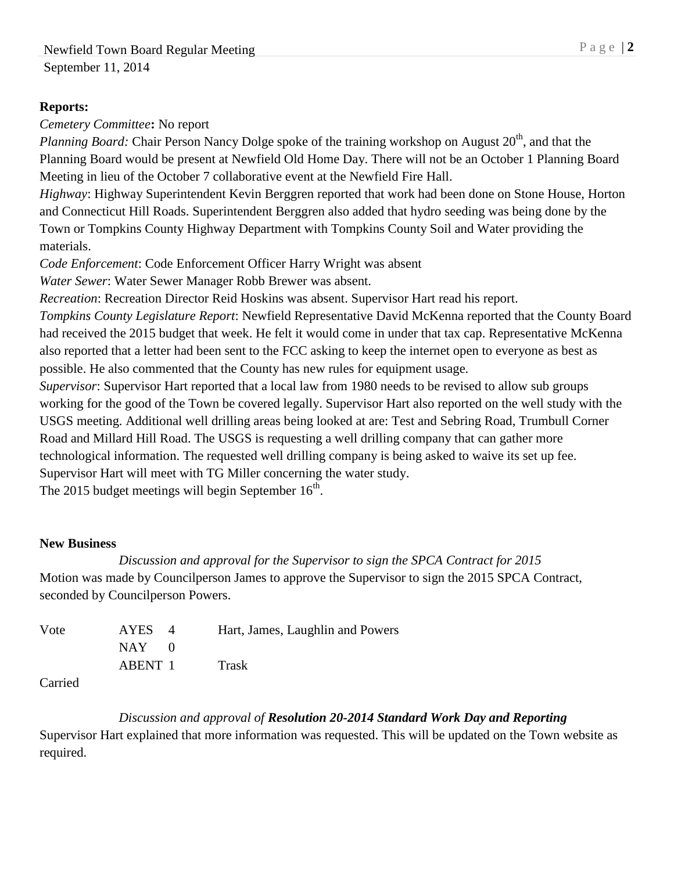### **Reports:**

*Cemetery Committee***:** No report

Planning Board: Chair Person Nancy Dolge spoke of the training workshop on August 20<sup>th</sup>, and that the Planning Board would be present at Newfield Old Home Day. There will not be an October 1 Planning Board Meeting in lieu of the October 7 collaborative event at the Newfield Fire Hall.

*Highway*: Highway Superintendent Kevin Berggren reported that work had been done on Stone House, Horton and Connecticut Hill Roads. Superintendent Berggren also added that hydro seeding was being done by the Town or Tompkins County Highway Department with Tompkins County Soil and Water providing the materials.

*Code Enforcement*: Code Enforcement Officer Harry Wright was absent

*Water Sewer*: Water Sewer Manager Robb Brewer was absent.

*Recreation*: Recreation Director Reid Hoskins was absent. Supervisor Hart read his report.

*Tompkins County Legislature Report*: Newfield Representative David McKenna reported that the County Board had received the 2015 budget that week. He felt it would come in under that tax cap. Representative McKenna also reported that a letter had been sent to the FCC asking to keep the internet open to everyone as best as possible. He also commented that the County has new rules for equipment usage.

*Supervisor*: Supervisor Hart reported that a local law from 1980 needs to be revised to allow sub groups working for the good of the Town be covered legally. Supervisor Hart also reported on the well study with the USGS meeting. Additional well drilling areas being looked at are: Test and Sebring Road, Trumbull Corner Road and Millard Hill Road. The USGS is requesting a well drilling company that can gather more technological information. The requested well drilling company is being asked to waive its set up fee. Supervisor Hart will meet with TG Miller concerning the water study.

The 2015 budget meetings will begin September  $16<sup>th</sup>$ .

## **New Business**

# *Discussion and approval for the Supervisor to sign the SPCA Contract for 2015* Motion was made by Councilperson James to approve the Supervisor to sign the 2015 SPCA Contract,

|      | seconded by Council person Powers. |              |                                  |
|------|------------------------------------|--------------|----------------------------------|
| Vote | AYES 4                             |              | Hart, James, Laughlin and Powers |
|      | NAY -                              | $\mathbf{U}$ |                                  |

ABENT 1 Trask

Carried

# *Discussion and approval of Resolution 20-2014 Standard Work Day and Reporting*

Supervisor Hart explained that more information was requested. This will be updated on the Town website as required.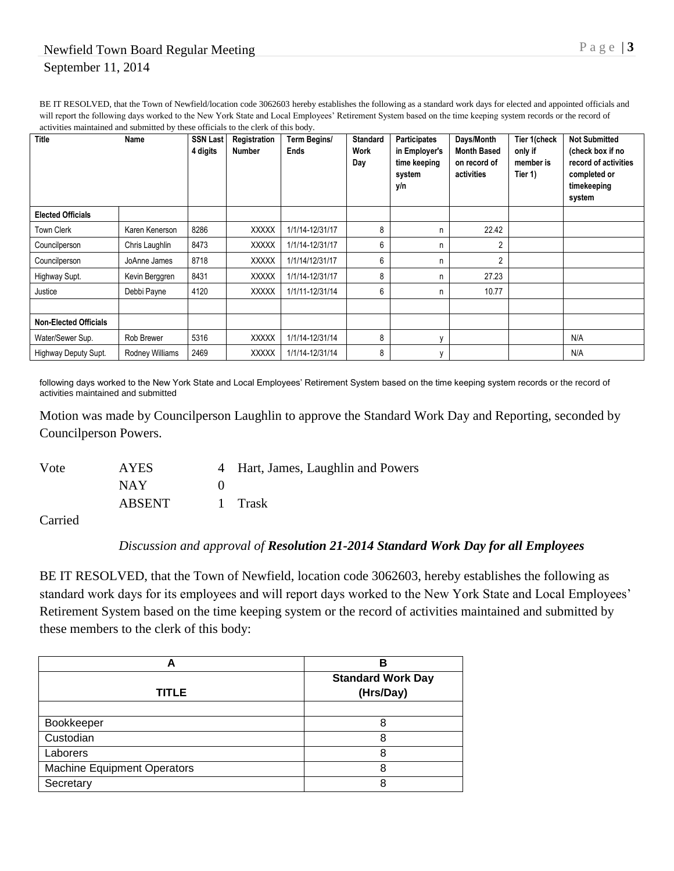BE IT RESOLVED, that the Town of Newfield/location code 3062603 hereby establishes the following as a standard work days for elected and appointed officials and will report the following days worked to the New York State and Local Employees' Retirement System based on the time keeping system records or the record of activities maintained and submitted by these officials to the clerk of this body.

| Title                        | Name            | SSN Last<br>4 digits | Registration<br><b>Number</b> | Term Begins/<br><b>Ends</b> | <b>Standard</b><br>Work<br>Day | <b>Participates</b><br>in Employer's<br>time keeping<br>system<br>y/n | Days/Month<br><b>Month Based</b><br>on record of<br>activities | Tier 1(check<br>only if<br>member is<br>Tier 1) | <b>Not Submitted</b><br>(check box if no<br>record of activities<br>completed or<br>timekeeping<br>system |
|------------------------------|-----------------|----------------------|-------------------------------|-----------------------------|--------------------------------|-----------------------------------------------------------------------|----------------------------------------------------------------|-------------------------------------------------|-----------------------------------------------------------------------------------------------------------|
| <b>Elected Officials</b>     |                 |                      |                               |                             |                                |                                                                       |                                                                |                                                 |                                                                                                           |
| Town Clerk                   | Karen Kenerson  | 8286                 | <b>XXXXX</b>                  | 1/1/14-12/31/17             | 8                              | n                                                                     | 22.42                                                          |                                                 |                                                                                                           |
| Councilperson                | Chris Laughlin  | 8473                 | <b>XXXXX</b>                  | 1/1/14-12/31/17             | 6                              | n                                                                     | $\overline{2}$                                                 |                                                 |                                                                                                           |
| Councilperson                | JoAnne James    | 8718                 | <b>XXXXX</b>                  | 1/1/14/12/31/17             | 6                              | n                                                                     | $\overline{2}$                                                 |                                                 |                                                                                                           |
| Highway Supt.                | Kevin Berggren  | 8431                 | <b>XXXXX</b>                  | 1/1/14-12/31/17             | 8                              | n                                                                     | 27.23                                                          |                                                 |                                                                                                           |
| Justice                      | Debbi Payne     | 4120                 | <b>XXXXX</b>                  | 1/1/11-12/31/14             | 6                              | n                                                                     | 10.77                                                          |                                                 |                                                                                                           |
|                              |                 |                      |                               |                             |                                |                                                                       |                                                                |                                                 |                                                                                                           |
| <b>Non-Elected Officials</b> |                 |                      |                               |                             |                                |                                                                       |                                                                |                                                 |                                                                                                           |
| Water/Sewer Sup.             | Rob Brewer      | 5316                 | <b>XXXXX</b>                  | 1/1/14-12/31/14             | 8                              | $\mathbf{v}$                                                          |                                                                |                                                 | N/A                                                                                                       |
| Highway Deputy Supt.         | Rodney Williams | 2469                 | <b>XXXXX</b>                  | 1/1/14-12/31/14             | 8                              | $\mathsf{V}$                                                          |                                                                |                                                 | N/A                                                                                                       |

following days worked to the New York State and Local Employees' Retirement System based on the time keeping system records or the record of activities maintained and submitted

Motion was made by Councilperson Laughlin to approve the Standard Work Day and Reporting, seconded by Councilperson Powers.

| Vote | <b>AYES</b> | 4 Hart, James, Laughlin and Powers |
|------|-------------|------------------------------------|
|      | NAY.        |                                    |
|      | ABSENT      | 1 Trask                            |

Carried

#### *Discussion and approval of Resolution 21-2014 Standard Work Day for all Employees*

BE IT RESOLVED, that the Town of Newfield, location code 3062603, hereby establishes the following as standard work days for its employees and will report days worked to the New York State and Local Employees' Retirement System based on the time keeping system or the record of activities maintained and submitted by these members to the clerk of this body:

| A                                  | в                                     |
|------------------------------------|---------------------------------------|
| <b>TITLE</b>                       | <b>Standard Work Day</b><br>(Hrs/Day) |
|                                    |                                       |
| Bookkeeper                         | 8                                     |
| Custodian                          | 8                                     |
| Laborers                           | 8                                     |
| <b>Machine Equipment Operators</b> | 8                                     |
| Secretary                          | 8                                     |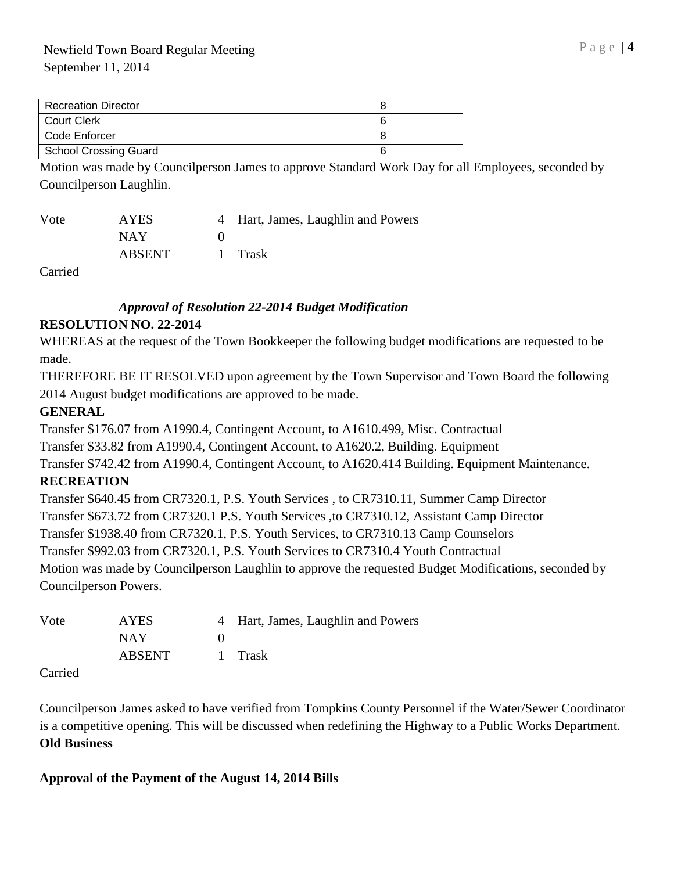| <b>Recreation Director</b> |  |
|----------------------------|--|
| <b>Court Clerk</b>         |  |
| Code Enforcer              |  |
| School Crossing Guard      |  |
| .<br>$ -$                  |  |

Motion was made by Councilperson James to approve Standard Work Day for all Employees, seconded by Councilperson Laughlin.

| Vote | <b>AYES</b>   | 4 Hart, James, Laughlin and Powers |
|------|---------------|------------------------------------|
|      | NAY.          |                                    |
|      | <b>ABSENT</b> | 1 Trask                            |

Carried

## *Approval of Resolution 22-2014 Budget Modification*

## **RESOLUTION NO. 22-2014**

WHEREAS at the request of the Town Bookkeeper the following budget modifications are requested to be made.

THEREFORE BE IT RESOLVED upon agreement by the Town Supervisor and Town Board the following 2014 August budget modifications are approved to be made.

## **GENERAL**

Transfer \$176.07 from A1990.4, Contingent Account, to A1610.499, Misc. Contractual

Transfer \$33.82 from A1990.4, Contingent Account, to A1620.2, Building. Equipment

Transfer \$742.42 from A1990.4, Contingent Account, to A1620.414 Building. Equipment Maintenance.

## **RECREATION**

Transfer \$640.45 from CR7320.1, P.S. Youth Services , to CR7310.11, Summer Camp Director Transfer \$673.72 from CR7320.1 P.S. Youth Services ,to CR7310.12, Assistant Camp Director Transfer \$1938.40 from CR7320.1, P.S. Youth Services, to CR7310.13 Camp Counselors Transfer \$992.03 from CR7320.1, P.S. Youth Services to CR7310.4 Youth Contractual Motion was made by Councilperson Laughlin to approve the requested Budget Modifications, seconded by

Councilperson Powers.

| Vote | <b>AYES</b>   | 4 Hart, James, Laughlin and Powers |
|------|---------------|------------------------------------|
|      | NAY.          |                                    |
|      | <b>ABSENT</b> | 1 Trask                            |
| __   |               |                                    |

Carried

Councilperson James asked to have verified from Tompkins County Personnel if the Water/Sewer Coordinator is a competitive opening. This will be discussed when redefining the Highway to a Public Works Department. **Old Business**

## **Approval of the Payment of the August 14, 2014 Bills**